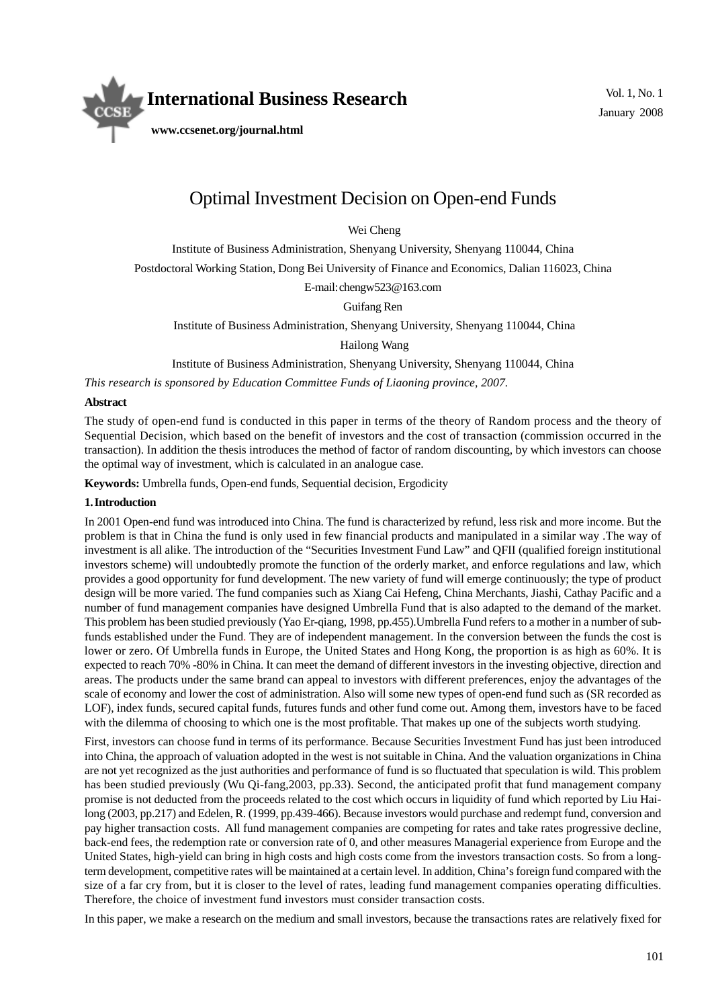

# Optimal Investment Decision on Open-end Funds

Wei Cheng

Institute of Business Administration, Shenyang University, Shenyang 110044, China

Postdoctoral Working Station, Dong Bei University of Finance and Economics, Dalian 116023, China

E-mail: chengw523@163.com

Guifang Ren

Institute of Business Administration, Shenyang University, Shenyang 110044, China

Hailong Wang

Institute of Business Administration, Shenyang University, Shenyang 110044, China

*This research is sponsored by Education Committee Funds of Liaoning province, 2007.*

#### **Abstract**

The study of open-end fund is conducted in this paper in terms of the theory of Random process and the theory of Sequential Decision, which based on the benefit of investors and the cost of transaction (commission occurred in the transaction). In addition the thesis introduces the method of factor of random discounting, by which investors can choose the optimal way of investment, which is calculated in an analogue case.

**Keywords:** Umbrella funds, Open-end funds, Sequential decision, Ergodicity

#### **1. Introduction**

In 2001 Open-end fund was introduced into China. The fund is characterized by refund, less risk and more income. But the problem is that in China the fund is only used in few financial products and manipulated in a similar way .The way of investment is all alike. The introduction of the "Securities Investment Fund Law" and QFII (qualified foreign institutional investors scheme) will undoubtedly promote the function of the orderly market, and enforce regulations and law, which provides a good opportunity for fund development. The new variety of fund will emerge continuously; the type of product design will be more varied. The fund companies such as Xiang Cai Hefeng, China Merchants, Jiashi, Cathay Pacific and a number of fund management companies have designed Umbrella Fund that is also adapted to the demand of the market. This problem has been studied previously (Yao Er-qiang, 1998, pp.455).Umbrella Fund refers to a mother in a number of subfunds established under the Fund. They are of independent management. In the conversion between the funds the cost is lower or zero. Of Umbrella funds in Europe, the United States and Hong Kong, the proportion is as high as 60%. It is expected to reach 70% -80% in China. It can meet the demand of different investors in the investing objective, direction and areas. The products under the same brand can appeal to investors with different preferences, enjoy the advantages of the scale of economy and lower the cost of administration. Also will some new types of open-end fund such as (SR recorded as LOF), index funds, secured capital funds, futures funds and other fund come out. Among them, investors have to be faced with the dilemma of choosing to which one is the most profitable. That makes up one of the subjects worth studying.

First, investors can choose fund in terms of its performance. Because Securities Investment Fund has just been introduced into China, the approach of valuation adopted in the west is not suitable in China. And the valuation organizations in China are not yet recognized as the just authorities and performance of fund is so fluctuated that speculation is wild. This problem has been studied previously (Wu Qi-fang, 2003, pp.33). Second, the anticipated profit that fund management company promise is not deducted from the proceeds related to the cost which occurs in liquidity of fund which reported by Liu Hailong (2003, pp.217) and Edelen, R. (1999, pp.439-466). Because investors would purchase and redempt fund, conversion and pay higher transaction costs. All fund management companies are competing for rates and take rates progressive decline, back-end fees, the redemption rate or conversion rate of 0, and other measures Managerial experience from Europe and the United States, high-yield can bring in high costs and high costs come from the investors transaction costs. So from a longterm development, competitive rates will be maintained at a certain level. In addition, China's foreign fund compared with the size of a far cry from, but it is closer to the level of rates, leading fund management companies operating difficulties. Therefore, the choice of investment fund investors must consider transaction costs.

In this paper, we make a research on the medium and small investors, because the transactions rates are relatively fixed for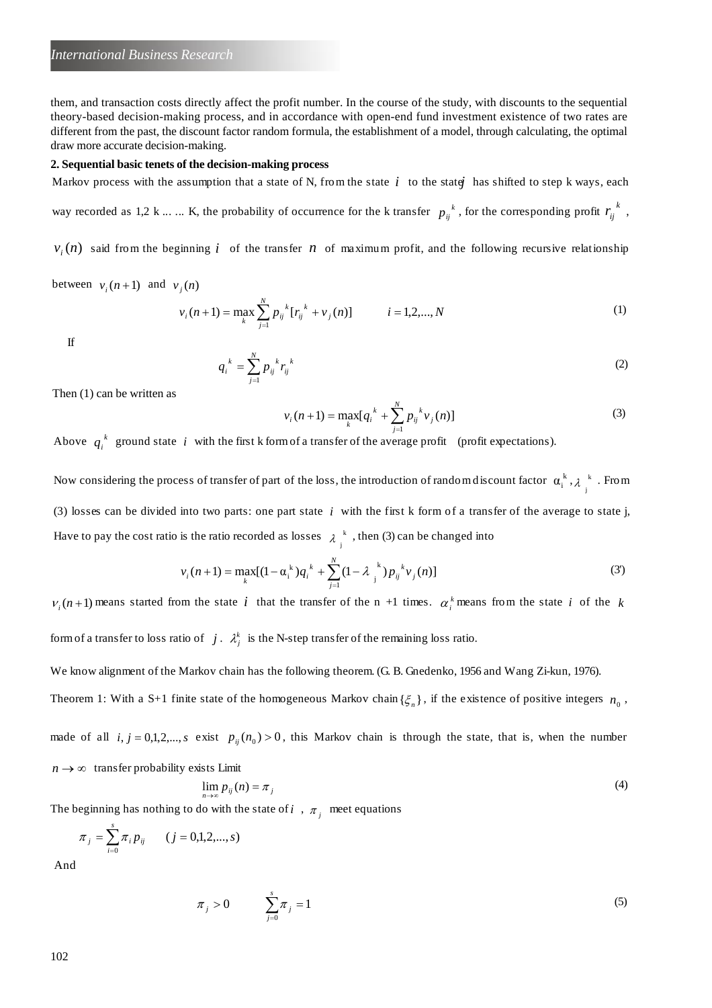them, and transaction costs directly affect the profit number. In the course of the study, with discounts to the sequential theory-based decision-making process, and in accordance with open-end fund investment existence of two rates are different from the past, the discount factor random formula, the establishment of a model, through calculating, the optimal draw more accurate decision-making.

#### **2. Sequential basic tenets of the decision-making process**

Markov process with the assumption that a state of N, from the state  $i$  to the state has shifted to step k ways, each

way recorded as 1,2 k ... ... K, the probability of occurrence for the k transfer  $p_{ij}^{k}$ , for the corresponding profit  $r_{ij}^{k}$ ,

 $v_i(n)$  said from the beginning *i* of the transfer *n* of maximum profit, and the following recursive relationship

between  $v_i(n+1)$  and  $v_j(n)$ 

$$
v_i(n+1) = \max_{k} \sum_{j=1}^{N} p_{ij}^{k} [r_{ij}^{k} + v_j(n)] \qquad i = 1, 2, ..., N
$$
 (1)

If

$$
q_i^{\ k} = \sum_{j=1}^N p_{ij}^{\ k} r_{ij}^{\ k} \tag{2}
$$

Then (1) can be written as

$$
v_i(n+1) = \max_k [q_i^{k} + \sum_{j=1}^{N} p_{ij}^{k} v_j(n)]
$$
\n(3)

Above  $q_i^k$  ground state *i* with the first k form of a transfer of the average profit (profit expectations).

Now considering the process of transfer of part of the loss, the introduction of random discount factor  $\alpha_i^k$ ,  $\lambda_i^k$  $\lambda_j^k$ . From (3) losses can be divided into two parts: one part state *i* with the first k form of a transfer of the average to state j, Have to pay the cost ratio is the ratio recorded as losses  $\lambda_j^k$ , then (3) can be changed into

$$
v_i(n+1) = \max_k [(1 - \alpha_i^k) q_i^k + \sum_{j=1}^N (1 - \lambda_j^k) p_{ij}^k v_j(n)]
$$
\n(3')

 $v_i(n+1)$  means started from the state *i* that the transfer of the n +1 times.  $\alpha_i^k$  means from the state *i* of the *k* 

form of a transfer to loss ratio of  $j$ .  $\lambda_j^k$  is the N-step transfer of the remaining loss ratio.

We know alignment of the Markov chain has the following theorem. (G. B. Gnedenko, 1956 and Wang Zi-kun, 1976).

Theorem 1: With a S+1 finite state of the homogeneous Markov chain  $\{\xi_n\}$ , if the existence of positive integers  $n_0$ ,

made of all  $i, j = 0,1,2,...,s$  exist  $p_{ij}(n_0) > 0$ , this Markov chain is through the state, that is, when the number  $n \rightarrow \infty$  transfer probability exists Limit

$$
\lim_{n\to\infty}p_{ij}(n)=\pi_j\tag{4}
$$

The beginning has nothing to do with the state of  $i$ ,  $\pi_j$  meet equations

$$
\pi_j = \sum_{i=0}^s \pi_i p_{ij} \qquad (j = 0, 1, 2, ..., s)
$$

And

$$
\pi_j > 0 \qquad \sum_{j=0}^s \pi_j = 1 \tag{5}
$$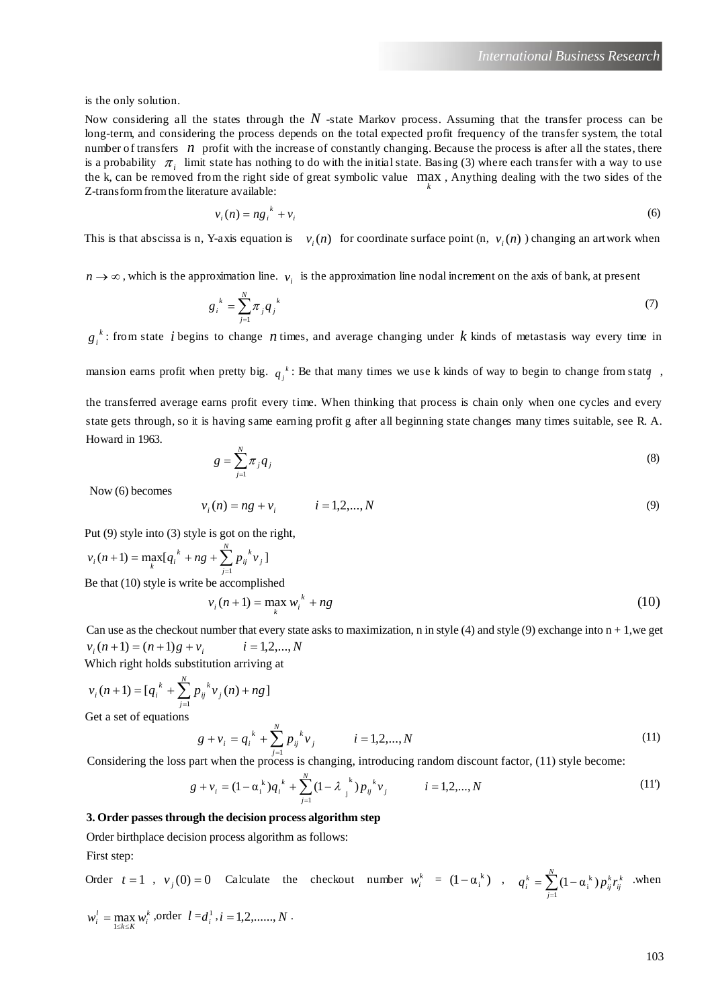is the only solution.

Now considering all the states through the *N* -state Markov process. Assuming that the transfer process can be long-term, and considering the process depends on the total expected profit frequency of the transfer system, the total number of transfers *n* profit with the increase of constantly changing. Because the process is after all the states, there is a probability  $\pi_i$  limit state has nothing to do with the initial state. Basing (3) where each transfer with a way to use the k, can be removed from the right side of great symbolic value  $\max_k$ , Anything dealing with the two sides of the  $\mathbb{Z}$  transform from the literature symbolic Z-transform from the literature available:

$$
v_i(n) = n g_i^k + v_i \tag{6}
$$

This is that abscissa is n, Y-axis equation is  $v_i(n)$  for coordinate surface point  $(n, v_i(n))$  changing an artwork when

 $n \to \infty$ , which is the approximation line.  $v_i$  is the approximation line nodal increment on the axis of bank, at present

$$
g_i^k = \sum_{j=1}^N \pi_j q_j^k \tag{7}
$$

*k*  $g_i^k$ : from state *i* begins to change *n* times, and average changing under *k* kinds of metastasis way every time in

mansion earns profit when pretty big.  $q_j^k$ : Be that many times we use k kinds of way to begin to change from state

the transferred average earns profit every time. When thinking that process is chain only when one cycles and every state gets through, so it is having same earning profit g after all beginning state changes many times suitable, see R. A. Howard in 1963.

$$
g = \sum_{j=1}^{N} \pi_j q_j \tag{8}
$$

Now (6) becomes

$$
v_i(n) = ng + v_i \qquad i = 1, 2, ..., N \tag{9}
$$

Put (9) style into (3) style is got on the right,

$$
v_i(n+1) = \max_k [q_i^{k} + ng + \sum_{j=1}^{N} p_{ij}^{k} v_j]
$$

Be that (10) style is write be accomplished

$$
v_i(n+1) = \max_k w_i^k + ng \tag{10}
$$

Can use as the checkout number that every state asks to maximization, n in style (4) and style (9) exchange into  $n + 1$ , we get  $v_i(n+1) = (n+1)g + v_i$  $i = 1, 2, ..., N$ 

Which right holds substitution arriving at

$$
v_i(n+1) = [q_i^k + \sum_{j=1}^N p_{ij}^k v_j(n) + ng]
$$
  
Get a set of equations

 $g + v_i = q_i^k + \sum_{j}^{N} p_{ij}^k v_j$   $i = 1, 2, ..., N$ *j k ij k*  $i = q_i^k + \sum p_{ij}^k v_j$   $i = 1, 2, ...,$  $+\nu_i = q_i^k + \sum_{j=1}^N p_{ij}^k \nu_j$   $i =$ (11)

Considering the loss part when the process is changing, introducing random discount factor, (11) style become:

$$
g + v_i = (1 - \alpha_i^k)q_i^k + \sum_{j=1}^N (1 - \lambda_j^k) p_{ij}^k v_j \qquad i = 1, 2, ..., N
$$
 (11)

### **3. Order passes through the decision process algorithm step**

Order birthplace decision process algorithm as follows:

First step:

Order 
$$
t = 1
$$
,  $v_j(0) = 0$  Calculate the checkout number  $w_i^k = (1 - \alpha_i^k)$ ,  $q_i^k = \sum_{j=1}^N (1 - \alpha_i^k) p_{ij}^k r_{ij}^k$  when

$$
w_i^l = \max_{1 \le k \le K} w_i^k
$$
, order  $l = d_i^1$ ,  $i = 1, 2, \dots, N$ .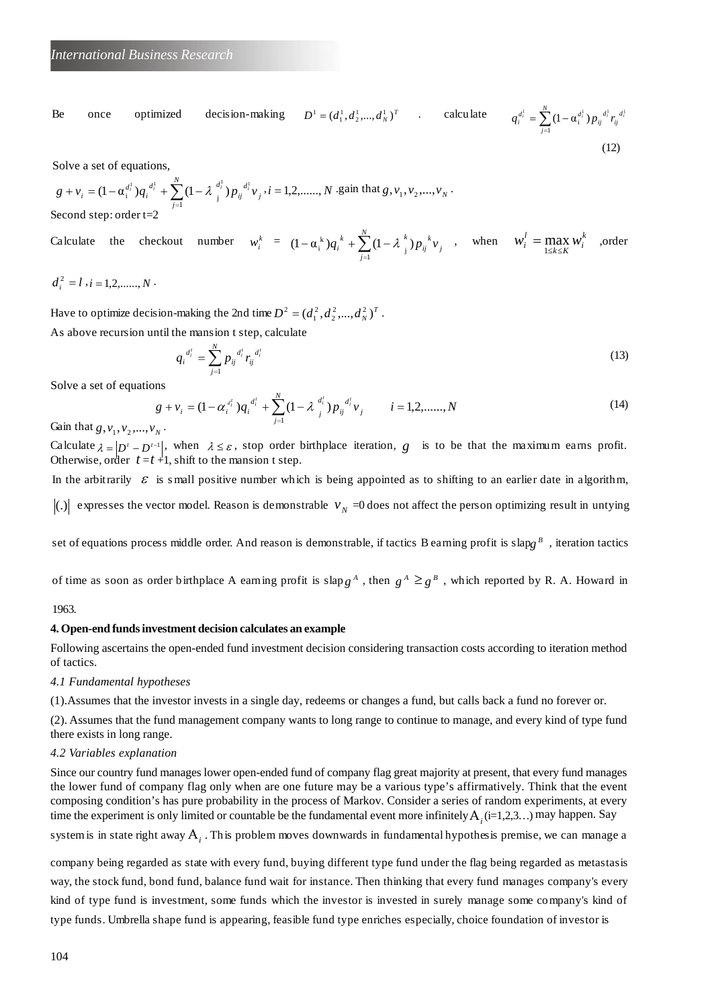Be once optimized decision-making  $D^1 = (d_1^1, d_2^1, ..., d_N^1)^T$  calculate  $q_i^{d_i^1} = \sum_{i=1}^N (1 - \alpha_i^{d_i^1}) p_{ii}^{d_i^1} r_i^{d_i^1}$  $\frac{d}{dt} = \sum_{j=1}^{l} (1 - \alpha_i^{d_i^1}) p_{ij}^{d_i^1} r_{ij}^{d_i^1}$ *N j*  $q_i^{d_i^1} = \sum_{i=1}^N (1 - \alpha_i^{d_i^1}) p_{ij}^{d_i^1} r_i^2$  $=$   $\sum$  (1 – (12)

Solve a set of equations,

$$
g + v_i = (1 - \alpha_i^{d_i^1}) q_i^{d_i^1} + \sum_{j=1}^N (1 - \lambda_{j}^{d_i^1}) p_{ij}^{d_i^1} v_j, i = 1, 2, \dots, N \text{ gain that } g, v_1, v_2, \dots, v_N.
$$
  
Second step: order t=2

Calculate the checkout number 
$$
w_i^k = (1 - \alpha_i^k)q_i^k + \sum_{j=1}^N (1 - \lambda_j^k) p_{ij}^k v_j
$$
, when  $w_i^l = \max_{1 \le k \le K} w_i^k$ , order

$$
d_i^2 = l \; , i = 1, 2, \ldots, N \; .
$$

Have to optimize decision-making the 2nd time  $D^2 = (d_1^2, d_2^2, ..., d_N^2)^T$ . As above recursion until the mansion t step, calculate

$$
q_i^{d_i^t} = \sum_{j=1}^N p_{ij}^{d_i^t} r_{ij}^{d_i^t} \tag{13}
$$

Solve a set of equations

$$
g + v_i = (1 - \alpha_i^{d_i}) q_i^{d_i^t} + \sum_{j=1}^N (1 - \lambda_{j}^{d_i^t}) p_{ij}^{d_i^t} v_j \qquad i = 1, 2, \dots, N
$$
 (14)

Gain that  $g, v_1, v_2, ..., v_N$ .

Calculate  $\lambda = |D^t - D^{t-1}|$ , when  $\lambda \leq \varepsilon$ , stop order birthplace iteration, *g* is to be that the maximum earns profit. Otherwise, order  $t = t + 1$ , shift to the mansion t step.

In the arbitrarily  $\epsilon$  is small positive number which is being appointed as to shifting to an earlier date in algorithm, (.) expresses the vector model. Reason is demonstrable  $v_N = 0$  does not affect the person optimizing result in untying

set of equations process middle order. And reason is demonstrable, if tactics Bearning profit is slapg  $^B$ , iteration tactics

of time as soon as order birthplace A earning profit is slap  $g^A$ , then  $g^A \geq g^B$ , which reported by R. A. Howard in

1963.

#### **4. Open-end funds investment decision calculates an example**

Following ascertains the open-ended fund investment decision considering transaction costs according to iteration method of tactics.

*4.1 Fundamental hypotheses*

(1).Assumes that the investor invests in a single day, redeems or changes a fund, but calls back a fund no forever or.

(2). Assumes that the fund management company wants to long range to continue to manage, and every kind of type fund there exists in long range.

#### *4.2 Variables explanation*

Since our country fund manages lower open-ended fund of company flag great majority at present, that every fund manages the lower fund of company flag only when are one future may be a various type's affirmatively. Think that the event composing condition's has pure probability in the process of Markov. Consider a series of random experiments, at every time the experiment is only limited or countable be the fundamental event more infinitely  $A_i$  (i=1,2,3…) may happen. Say

system is in state right away Α*<sup>i</sup>* . This problem moves downwards in fundamental hypothesis premise, we can manage a

company being regarded as state with every fund, buying different type fund under the flag being regarded as metastasis way, the stock fund, bond fund, balance fund wait for instance. Then thinking that every fund manages company's every kind of type fund is investment, some funds which the investor is invested in surely manage some company's kind of type funds. Umbrella shape fund is appearing, feasible fund type enriches especially, choice foundation of investor is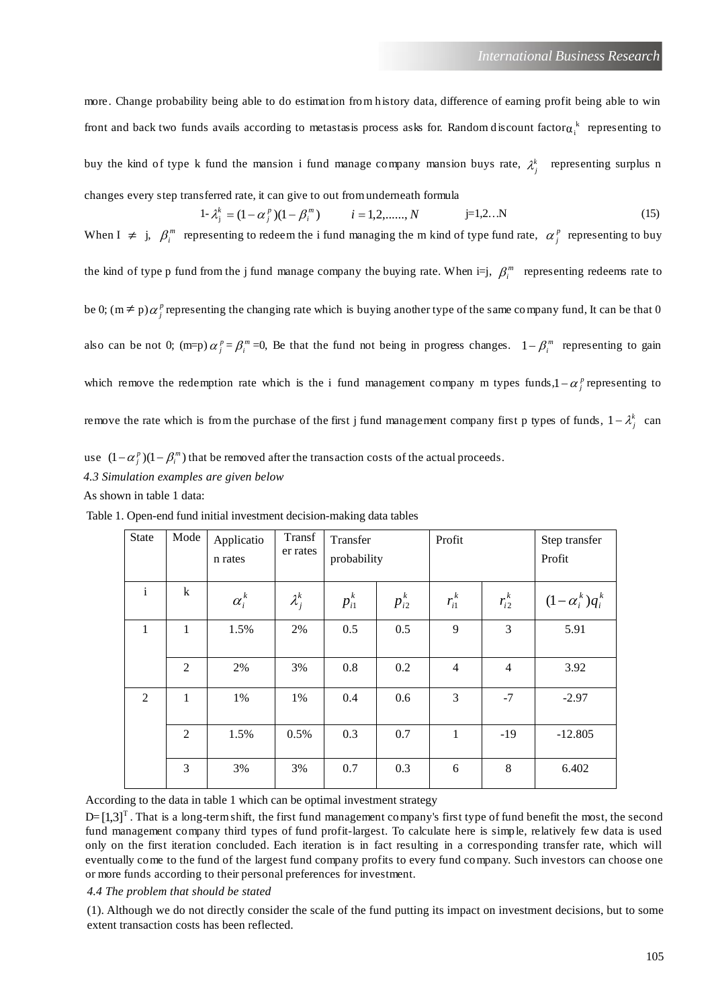more. Change probability being able to do estimation from history data, difference of earning profit being able to win front and back two funds avails according to metastasis process asks for. Random discount factor $\alpha_i^k$  representing to buy the kind of type k fund the mansion i fund manage company mansion buys rate,  $\lambda_j^k$  representing surplus n changes every step transferred rate, it can give to out from underneath formula

$$
1 - \lambda_j^k = (1 - \alpha_j^p)(1 - \beta_i^m) \qquad i = 1, 2, \dots, N \qquad j = 1, 2 \dots N \tag{15}
$$

When  $I \neq j$ ,  $\beta_i^m$  representing to redeem the i fund managing the m kind of type fund rate,  $\alpha_j^p$  representing to buy the kind of type p fund from the j fund manage company the buying rate. When  $i=j$ ,  $\beta_i^m$  representing redeems rate to be 0;  $(m \neq p)\alpha_j^p$  representing the changing rate which is buying another type of the same company fund, It can be that 0 also can be not 0; (m=p)  $\alpha_j^p = \beta_i^m = 0$ , Be that the fund not being in progress changes.  $1 - \beta_i^m$  representing to gain which remove the redemption rate which is the i fund management company m types funds,  $1 - \alpha_j^p$  representing to remove the rate which is from the purchase of the first j fund management company first p types of funds,  $1 - \lambda_j^k$  can

use  $(1 - \alpha_j^p)(1 - \beta_i^m)$  that be removed after the transaction costs of the actual proceeds.

*4.3 Simulation examples are given below*

As shown in table 1 data:

| <b>State</b> | Mode           | Applicatio<br>n rates | Transf<br>er rates | Transfer<br>probability |            | Profit       |                | Step transfer<br>Profit |
|--------------|----------------|-----------------------|--------------------|-------------------------|------------|--------------|----------------|-------------------------|
| $\mathbf{i}$ | $\bf k$        | $\alpha_i^k$          | $\lambda_i^k$      | $p_{i1}^k$              | $p_{i2}^k$ | $r_{i1}^k$   | $r_{i2}^k$     | $(1-\alpha_i^k)q_i^k$   |
| 1            | 1              | 1.5%                  | 2%                 | 0.5                     | 0.5        | 9            | 3              | 5.91                    |
|              | $\overline{2}$ | 2%                    | 3%                 | 0.8                     | 0.2        | 4            | $\overline{4}$ | 3.92                    |
| 2            | 1              | 1%                    | 1%                 | 0.4                     | 0.6        | 3            | $-7$           | $-2.97$                 |
|              | $\overline{2}$ | 1.5%                  | 0.5%               | 0.3                     | 0.7        | $\mathbf{1}$ | $-19$          | $-12.805$               |
|              | 3              | 3%                    | 3%                 | 0.7                     | 0.3        | 6            | 8              | 6.402                   |

Table 1. Open-end fund initial investment decision-making data tables

According to the data in table 1 which can be optimal investment strategy

D= $[1,3]$ <sup>T</sup>. That is a long-term shift, the first fund management company's first type of fund benefit the most, the second fund management company third types of fund profit-largest. To calculate here is simple, relatively few data is used only on the first iteration concluded. Each iteration is in fact resulting in a corresponding transfer rate, which will eventually come to the fund of the largest fund company profits to every fund company. Such investors can choose one or more funds according to their personal preferences for investment.

#### *4.4 The problem that should be stated*

(1). Although we do not directly consider the scale of the fund putting its impact on investment decisions, but to some extent transaction costs has been reflected.